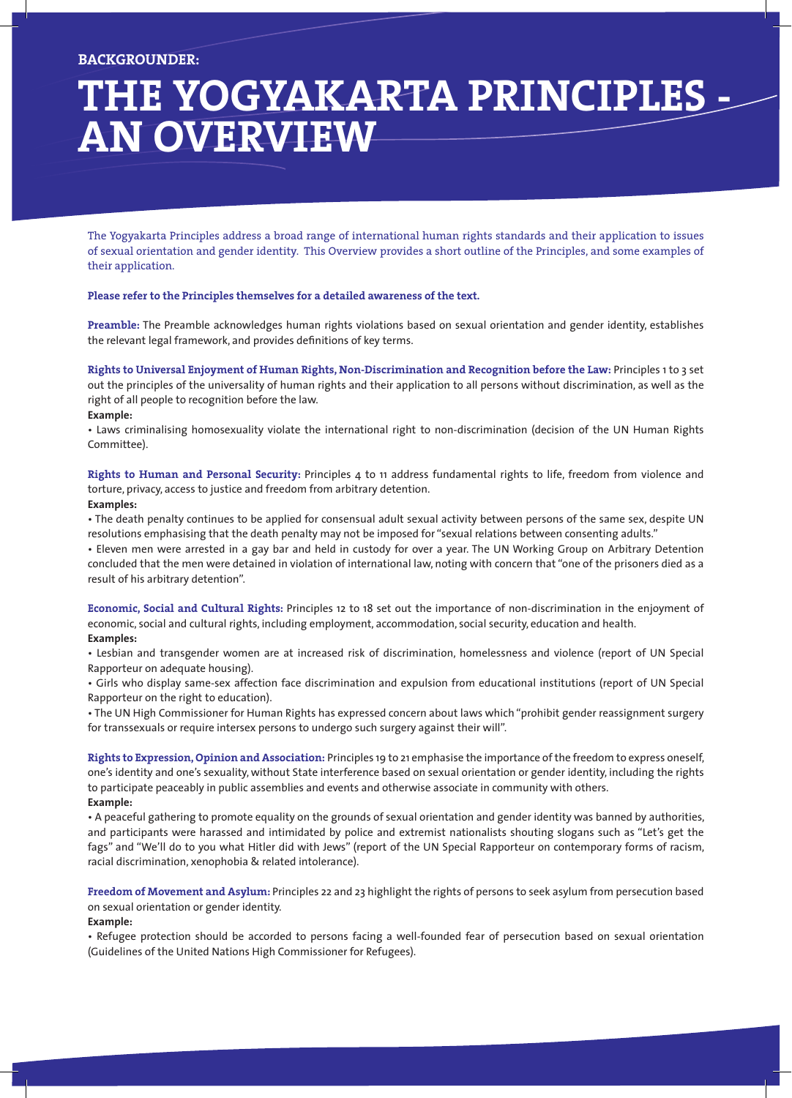# **THE YOGYAKARTA PRINCIPLES an Overview**

The Yogyakarta Principles address a broad range of international human rights standards and their application to issues of sexual orientation and gender identity. This Overview provides a short outline of the Principles, and some examples of their application.

## **Please refer to the Principles themselves for a detailed awareness of the text.**

**Preamble:** The Preamble acknowledges human rights violations based on sexual orientation and gender identity, establishes the relevant legal framework, and provides definitions of key terms.

**Rights to Universal Enjoyment of Human Rights, Non-Discrimination and Recognition before the Law:** Principles 1 to 3 set out the principles of the universality of human rights and their application to all persons without discrimination, as well as the right of all people to recognition before the law.

#### **Example:**

• Laws criminalising homosexuality violate the international right to non-discrimination (decision of the UN Human Rights Committee).

**Rights to Human and Personal Security:** Principles 4 to 11 address fundamental rights to life, freedom from violence and<br>torture privacy access to justice and freedom from arbitrary detention. international december. torture, privacy, access to justice and freedom from arbitrary detention.

# **Examples:**

• The death penalty continues to be applied for consensual adult sexual activity between persons of the same sex, despite I resolutions emphasising that the death penalty may not be imposed for "sexual relations between consenting adults."<br>. Eleven man were arrested in a gay bar and hold in sustady for over a vear. The UN Werking Group on Arbit

• Eleven men were arrested in a gay bar and held in custody for over a year. The UN Working Group on Arbitrary Detention concluded that the men were detained in violation of international law, noting with concern that "one of the prisoners died as a result of his arbitrary detention".

**Economic, Social and Cultural Rights:** Principles 12 to 18 set out the importance of non-discrimination in the enjoyment of economic, social and cultural rights, including employment, accommodation, social security, education and health. **Examples:** 

• Lesbian and transgender women are at increased risk of discrimination, homelessness and violence (report of UN Special Rapporteur on adequate housing).

• Girls who display same-sex affection face discrimination and expulsion from educational institutions (report of UN Special Rapporteur on the right to education).

• The UN High Commissioner for Human Rights has expressed concern about laws which "prohibit gender reassignment surgery for transsexuals or require intersex persons to undergo such surgery against their will".

**Rights to Expression, Opinion and Association:** Principles 19 to 21 emphasise the importance of the freedom to express oneself, one's identity and one's sexuality, without State interference based on sexual orientation or gender identity, including the rights to participate peaceably in public assemblies and events and otherwise associate in community with others. **Example:** 

• A peaceful gathering to promote equality on the grounds of sexual orientation and gender identity was banned by authorities, and participants were harassed and intimidated by police and extremist nationalists shouting slogans such as "Let's get the fags" and "We'll do to you what Hitler did with Jews" (report of the UN Special Rapporteur on contemporary forms of racism, racial discrimination, xenophobia & related intolerance).

**Freedom of Movement and Asylum:** Principles 22 and 23 highlight the rights of persons to seek asylum from persecution based on sexual orientation or gender identity.

# **Example:**

• Refugee protection should be accorded to persons facing a well-founded fear of persecution based on sexual orientation (Guidelines of the United Nations High Commissioner for Refugees).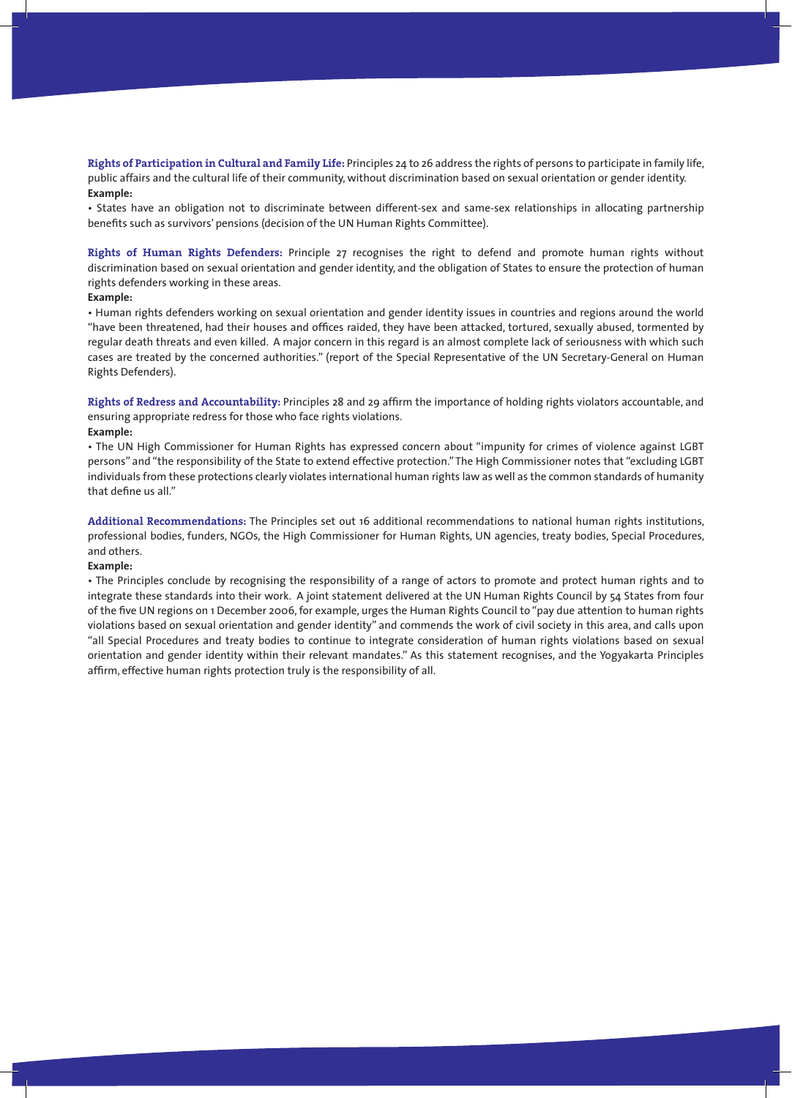**Rights of Participation in Cultural and Family Life:** Principles 24 to 26 address the rights of persons to participate in family life, public affairs and the cultural life of their community, without discrimination based on sexual orientation or gender identity. **Example:** 

• States have an obligation not to discriminate between different-sex and same-sex relationships in allocating partnership benefits such as survivors' pensions (decision of the UN Human Rights Committee).

**Rights of Human Rights Defenders:** Principle 27 recognises the right to defend and promote human rights without discrimination based on sexual orientation and gender identity, and the obligation of States to ensure the protection of human rights defenders working in these areas.

### **Example:**

• Human rights defenders working on sexual orientation and gender identity issues in countries and regions around the world "have been threatened, had their houses and offices raided, they have been attacked, tortured, sexually abused, tormented by regular death threats and even killed. A major concern in this regard is an almost complete lack of seriousness with which such cases are treated by the concerned authorities." (report of the Special Representative of the UN Secretary-General on Human Rights Defenders).

**Rights of Redress and Accountability:** Principles 28 and 29 affirm the importance of holding rights violators accountable, and ensuring appropriate redress for those who face rights violations.

## **Example:**

• The UN High Commissioner for Human Rights has expressed concern about "impunity for crimes of violence against LGBT persons" and "the responsibility of the State to extend effective protection." The High Commissioner notes that "excluding LGBT individuals from these protections clearly violates international human rights law as well as the common standards of humanity that define us all."

**Additional Recommendations:** The Principles set out 16 additional recommendations to national human rights institutions, professional bodies, funders, NGOs, the High Commissioner for Human Rights, UN agencies, treaty bodies, Special Procedures, and others.

### **Example:**

• The Principles conclude by recognising the responsibility of a range of actors to promote and protect human rights and to integrate these standards into their work. A joint statement delivered at the UN Human Rights Council by 54 States from four of the five UN regions on 1 December 2006, for example, urges the Human Rights Council to "pay due attention to human rights violations based on sexual orientation and gender identity" and commends the work of civil society in this area, and calls upon "all Special Procedures and treaty bodies to continue to integrate consideration of human rights violations based on sexual orientation and gender identity within their relevant mandates." As this statement recognises, and the Yogyakarta Principles affirm, effective human rights protection truly is the responsibility of all.